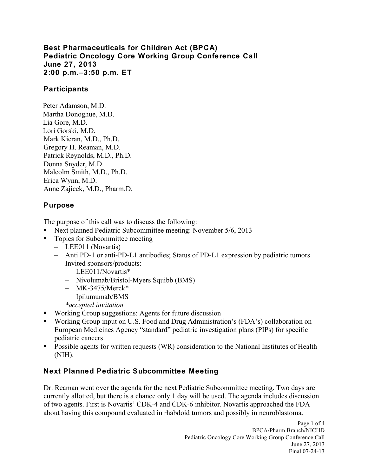**Best Pharmaceuticals for Children Act (BPCA) Pediatric Oncology Core Working Group Conference Call June 27, 2013 2:00 p.m.–3:50 p.m. ET** 

## **Participants**

Peter Adamson, M.D. Martha Donoghue, M.D. Lia Gore, M.D. Lori Gorski, M.D. Mark Kieran, M.D., Ph.D. Gregory H. Reaman, M.D. Patrick Reynolds, M.D., Ph.D. Donna Snyder, M.D. Malcolm Smith, M.D., Ph.D. Erica Wynn, M.D. Anne Zajicek, M.D., Pharm.D.

## **Purpose**

The purpose of this call was to discuss the following:

- Next planned Pediatric Subcommittee meeting: November 5/6, 2013
- **Topics for Subcommittee meeting** 
	- – LEE011 (Novartis)
	- – Anti PD-1 or anti-PD-L1 antibodies; Status of PD-L1 expression by pediatric tumors
	- – Invited sponsors/products:
		- – LEE011/Novartis\*
		- – Nivolumab/Bristol-Myers Squibb (BMS)
		- $-$  MK-3475/Merck\*
		- – Ipilumumab/BMS
		- *\*accepted invitation*
- Working Group suggestions: Agents for future discussion
- European Medicines Agency "standard" pediatric investigation plans (PIPs) for specific Working Group input on U.S. Food and Drug Administration's (FDA's) collaboration on pediatric cancers
- **Possible agents for written requests (WR) consideration to the National Institutes of Health** (NIH).

## **Next Planned Pediatric Subcommittee Meeting**

 Dr. Reaman went over the agenda for the next Pediatric Subcommittee meeting. Two days are currently allotted, but there is a chance only 1 day will be used. The agenda includes discussion of two agents. First is Novartis' CDK-4 and CDK-6 inhibitor. Novartis approached the FDA about having this compound evaluated in rhabdoid tumors and possibly in neuroblastoma.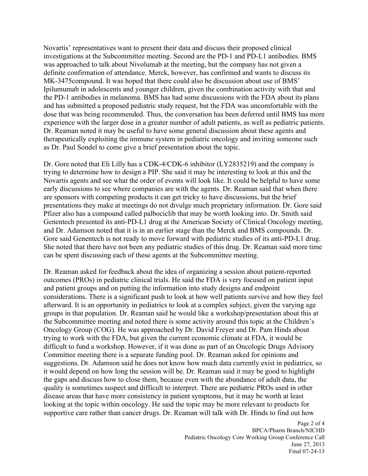was approached to talk about Nivolumab at the meeting, but the company has not given a Novartis' representatives want to present their data and discuss their proposed clinical investigations at the Subcommittee meeting. Second are the PD-1 and PD-L1 antibodies. BMS definite confirmation of attendance. Merck, however, has confirmed and wants to discuss its MK-3475compound. It was hoped that there could also be discussion about use of BMS' Ipilumumab in adolescents and younger children, given the combination activity with that and the PD-1 antibodies in melanoma. BMS has had some discussions with the FDA about its plans and has submitted a proposed pediatric study request, but the FDA was uncomfortable with the dose that was being recommended. Thus, the conversation has been deferred until BMS has more experience with the larger dose in a greater number of adult patients, as well as pediatric patients. Dr. Reaman noted it may be useful to have some general discussion about these agents and therapeutically exploiting the immune system in pediatric oncology and inviting someone such as Dr. Paul Sondel to come give a brief presentation about the topic.

 Dr. Gore noted that Eli Lilly has a CDK-4/CDK-6 inhibitor (LY2835219) and the company is Gore said Genentech is not ready to move forward with pediatric studies of its anti-PD-L1 drug. can be spent discussing each of these agents at the Subcommittee meeting. trying to determine how to design a PIP. She said it may be interesting to look at this and the Novartis agents and see what the order of events will look like. It could be helpful to have some early discussions to see where companies are with the agents. Dr. Reaman said that when there are sponsors with competing products it can get tricky to have discussions, but the brief presentations they make at meetings do not divulge much proprietary information. Dr. Gore said Pfizer also has a compound called palbociclib that may be worth looking into. Dr. Smith said Genentech presented its anti-PD-L1 drug at the American Society of Clinical Oncology meeting, and Dr. Adamson noted that it is in an earlier stage than the Merck and BMS compounds. Dr. She noted that there have not been any pediatric studies of this drug. Dr. Reaman said more time

 quality is sometimes suspect and difficult to interpret. There are pediatric PROs used in other Dr. Reaman asked for feedback about the idea of organizing a session about patient-reported outcomes (PROs) in pediatric clinical trials. He said the FDA is very focused on patient input and patient groups and on putting the information into study designs and endpoint considerations. There is a significant push to look at how well patients survive and how they feel afterward. It is an opportunity in pediatrics to look at a complex subject, given the varying age groups in that population. Dr. Reaman said he would like a workshop/presentation about this at the Subcommittee meeting and noted there is some activity around this topic at the Children's Oncology Group (COG). He was approached by Dr. David Freyer and Dr. Pam Hinds about trying to work with the FDA, but given the current economic climate at FDA, it would be difficult to fund a workshop. However, if it was done as part of an Oncologic Drugs Advisory Committee meeting there is a separate funding pool. Dr. Reaman asked for opinions and suggestions. Dr. Adamson said he does not know how much data currently exist in pediatrics, so it would depend on how long the session will be. Dr. Reaman said it may be good to highlight the gaps and discuss how to close them, because even with the abundance of adult data, the disease areas that have more consistency in patient symptoms, but it may be worth at least looking at the topic within oncology. He said the topic may be more relevant to products for supportive care rather than cancer drugs. Dr. Reaman will talk with Dr. Hinds to find out how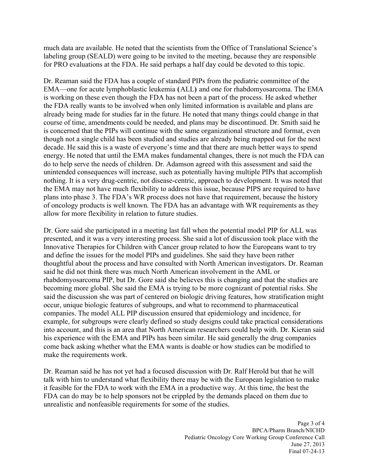much data are available. He noted that the scientists from the Office of Translational Science's labeling group (SEALD) were going to be invited to the meeting, because they are responsible for PRO evaluations at the FDA. He said perhaps a half day could be devoted to this topic.

Dr. Reaman said the FDA has a couple of standard PIPs from the pediatric committee of the EMA—one for acute lymphoblastic leukemia **(**ALL**)** and one for rhabdomyosarcoma. The EMA is working on these even though the FDA has not been a part of the process. He asked whether the FDA really wants to be involved when only limited information is available and plans are already being made for studies far in the future. He noted that many things could change in that course of time, amendments could be needed, and plans may be discontinued. Dr. Smith said he is concerned that the PIPs will continue with the same organizational structure and format, even though not a single child has been studied and studies are already being mapped out for the next decade. He said this is a waste of everyone's time and that there are much better ways to spend energy. He noted that until the EMA makes fundamental changes, there is not much the FDA can do to help serve the needs of children. Dr. Adamson agreed with this assessment and said the unintended consequences will increase, such as potentially having multiple PIPs that accomplish nothing. It is a very drug-centric, not disease-centric, approach to development. It was noted that the EMA may not have much flexibility to address this issue, because PIPS are required to have plans into phase 3. The FDA's WR process does not have that requirement, because the history of oncology products is well known. The FDA has an advantage with WR requirements as they allow for more flexibility in relation to future studies.

Dr. Gore said she participated in a meeting last fall when the potential model PIP for ALL was presented, and it was a very interesting process. She said a lot of discussion took place with the Innovative Therapies for Children with Cancer group related to how the Europeans want to try and define the issues for the model PIPs and guidelines. She said they have been rather thoughtful about the process and have consulted with North American investigators. Dr. Reaman said he did not think there was much North American involvement in the AML or rhabdomyosarcoma PIP, but Dr. Gore said she believes this is changing and that the studies are becoming more global. She said the EMA is trying to be more cognizant of potential risks. She said the discussion she was part of centered on biologic driving features, how stratification might occur, unique biologic features of subgroups, and what to recommend to pharmaceutical companies. The model ALL PIP discussion ensured that epidemiology and incidence, for example, for subgroups were clearly defined so study designs could take practical considerations into account, and this is an area that North American researchers could help with. Dr. Kieran said his experience with the EMA and PIPs has been similar. He said generally the drug companies come back asking whether what the EMA wants is doable or how studies can be modified to make the requirements work.

 Dr. Reaman said he has not yet had a focused discussion with Dr. Ralf Herold but that he will talk with him to understand what flexibility there may be with the European legislation to make it feasible for the FDA to work with the EMA in a productive way. At this time, the best the FDA can do may be to help sponsors not be crippled by the demands placed on them due to unrealistic and nonfeasible requirements for some of the studies.